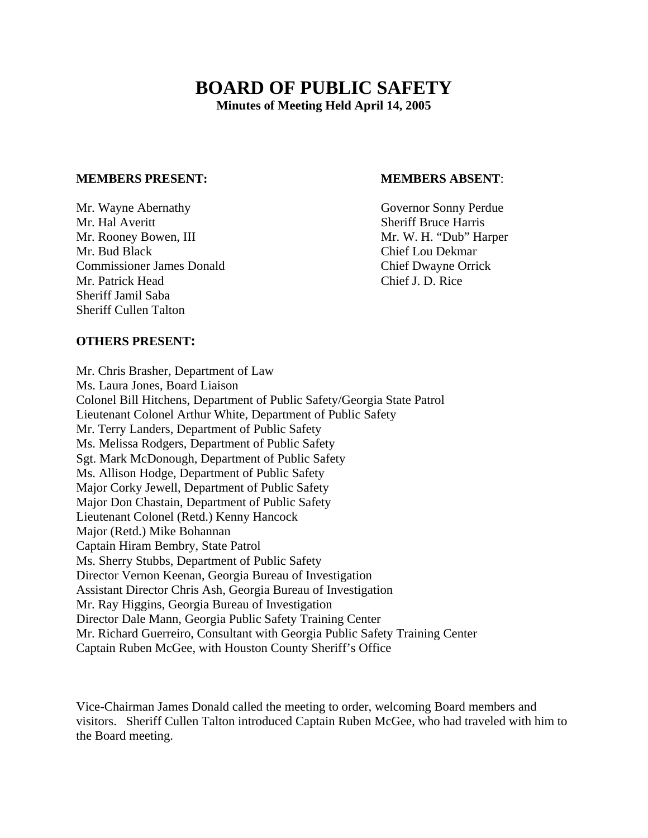# **BOARD OF PUBLIC SAFETY Minutes of Meeting Held April 14, 2005**

#### **MEMBERS PRESENT: MEMBERS ABSENT**:

Mr. Wayne Abernathy Governor Sonny Perdue Mr. Hal Averitt Sheriff Bruce Harris Mr. Rooney Bowen, III and the same state of Mr. W. H. "Dub" Harper Mr. Bud Black Chief Lou Dekmar Commissioner James Donald Chief Dwayne Orrick Mr. Patrick Head Chief J. D. Rice Sheriff Jamil Saba Sheriff Cullen Talton

#### **OTHERS PRESENT:**

Mr. Chris Brasher, Department of Law Ms. Laura Jones, Board Liaison Colonel Bill Hitchens, Department of Public Safety/Georgia State Patrol Lieutenant Colonel Arthur White, Department of Public Safety Mr. Terry Landers, Department of Public Safety Ms. Melissa Rodgers, Department of Public Safety Sgt. Mark McDonough, Department of Public Safety Ms. Allison Hodge, Department of Public Safety Major Corky Jewell, Department of Public Safety Major Don Chastain, Department of Public Safety Lieutenant Colonel (Retd.) Kenny Hancock Major (Retd.) Mike Bohannan Captain Hiram Bembry, State Patrol Ms. Sherry Stubbs, Department of Public Safety Director Vernon Keenan, Georgia Bureau of Investigation Assistant Director Chris Ash, Georgia Bureau of Investigation Mr. Ray Higgins, Georgia Bureau of Investigation Director Dale Mann, Georgia Public Safety Training Center Mr. Richard Guerreiro, Consultant with Georgia Public Safety Training Center Captain Ruben McGee, with Houston County Sheriff's Office

Vice-Chairman James Donald called the meeting to order, welcoming Board members and visitors. Sheriff Cullen Talton introduced Captain Ruben McGee, who had traveled with him to the Board meeting.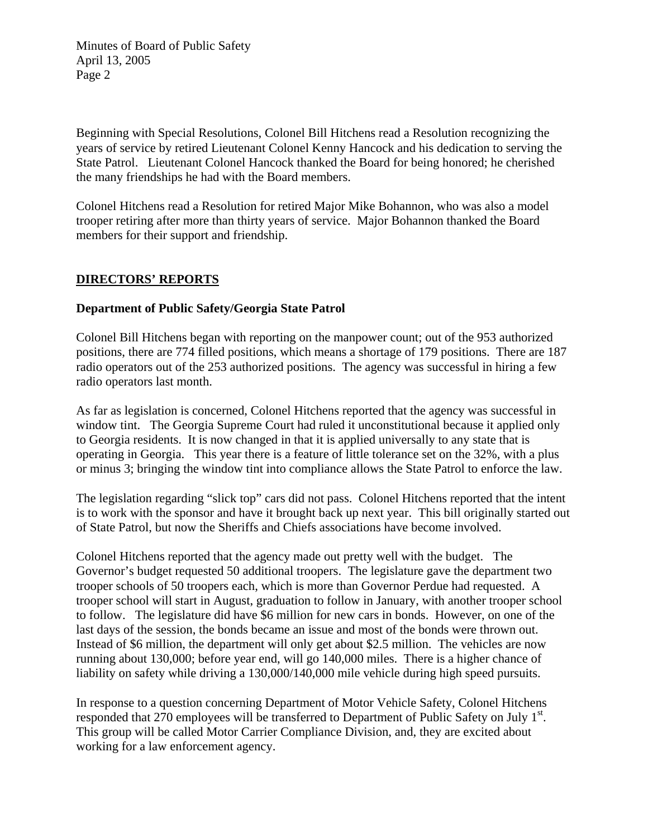Beginning with Special Resolutions, Colonel Bill Hitchens read a Resolution recognizing the years of service by retired Lieutenant Colonel Kenny Hancock and his dedication to serving the State Patrol. Lieutenant Colonel Hancock thanked the Board for being honored; he cherished the many friendships he had with the Board members.

Colonel Hitchens read a Resolution for retired Major Mike Bohannon, who was also a model trooper retiring after more than thirty years of service. Major Bohannon thanked the Board members for their support and friendship.

# **DIRECTORS' REPORTS**

#### **Department of Public Safety/Georgia State Patrol**

Colonel Bill Hitchens began with reporting on the manpower count; out of the 953 authorized positions, there are 774 filled positions, which means a shortage of 179 positions. There are 187 radio operators out of the 253 authorized positions. The agency was successful in hiring a few radio operators last month.

As far as legislation is concerned, Colonel Hitchens reported that the agency was successful in window tint. The Georgia Supreme Court had ruled it unconstitutional because it applied only to Georgia residents. It is now changed in that it is applied universally to any state that is operating in Georgia. This year there is a feature of little tolerance set on the 32%, with a plus or minus 3; bringing the window tint into compliance allows the State Patrol to enforce the law.

The legislation regarding "slick top" cars did not pass. Colonel Hitchens reported that the intent is to work with the sponsor and have it brought back up next year. This bill originally started out of State Patrol, but now the Sheriffs and Chiefs associations have become involved.

Colonel Hitchens reported that the agency made out pretty well with the budget. The Governor's budget requested 50 additional troopers. The legislature gave the department two trooper schools of 50 troopers each, which is more than Governor Perdue had requested. A trooper school will start in August, graduation to follow in January, with another trooper school to follow. The legislature did have \$6 million for new cars in bonds. However, on one of the last days of the session, the bonds became an issue and most of the bonds were thrown out. Instead of \$6 million, the department will only get about \$2.5 million. The vehicles are now running about 130,000; before year end, will go 140,000 miles. There is a higher chance of liability on safety while driving a 130,000/140,000 mile vehicle during high speed pursuits.

In response to a question concerning Department of Motor Vehicle Safety, Colonel Hitchens responded that  $270$  employees will be transferred to Department of Public Safety on July  $1<sup>st</sup>$ . This group will be called Motor Carrier Compliance Division, and, they are excited about working for a law enforcement agency.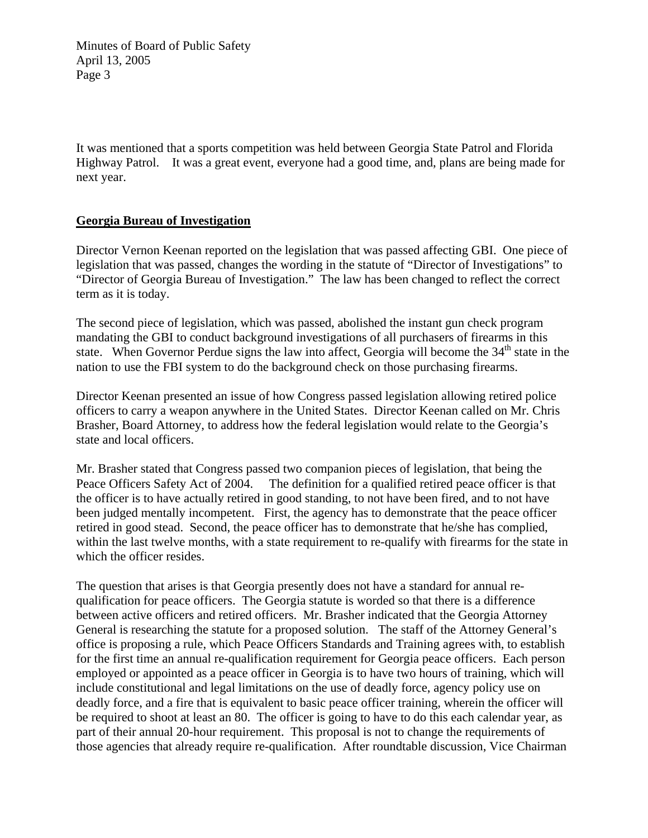It was mentioned that a sports competition was held between Georgia State Patrol and Florida Highway Patrol. It was a great event, everyone had a good time, and, plans are being made for next year.

#### **Georgia Bureau of Investigation**

Director Vernon Keenan reported on the legislation that was passed affecting GBI. One piece of legislation that was passed, changes the wording in the statute of "Director of Investigations" to "Director of Georgia Bureau of Investigation." The law has been changed to reflect the correct term as it is today.

The second piece of legislation, which was passed, abolished the instant gun check program mandating the GBI to conduct background investigations of all purchasers of firearms in this state. When Governor Perdue signs the law into affect, Georgia will become the 34<sup>th</sup> state in the nation to use the FBI system to do the background check on those purchasing firearms.

Director Keenan presented an issue of how Congress passed legislation allowing retired police officers to carry a weapon anywhere in the United States. Director Keenan called on Mr. Chris Brasher, Board Attorney, to address how the federal legislation would relate to the Georgia's state and local officers.

Mr. Brasher stated that Congress passed two companion pieces of legislation, that being the Peace Officers Safety Act of 2004. The definition for a qualified retired peace officer is that the officer is to have actually retired in good standing, to not have been fired, and to not have been judged mentally incompetent. First, the agency has to demonstrate that the peace officer retired in good stead. Second, the peace officer has to demonstrate that he/she has complied, within the last twelve months, with a state requirement to re-qualify with firearms for the state in which the officer resides.

The question that arises is that Georgia presently does not have a standard for annual requalification for peace officers. The Georgia statute is worded so that there is a difference between active officers and retired officers. Mr. Brasher indicated that the Georgia Attorney General is researching the statute for a proposed solution. The staff of the Attorney General's office is proposing a rule, which Peace Officers Standards and Training agrees with, to establish for the first time an annual re-qualification requirement for Georgia peace officers. Each person employed or appointed as a peace officer in Georgia is to have two hours of training, which will include constitutional and legal limitations on the use of deadly force, agency policy use on deadly force, and a fire that is equivalent to basic peace officer training, wherein the officer will be required to shoot at least an 80. The officer is going to have to do this each calendar year, as part of their annual 20-hour requirement. This proposal is not to change the requirements of those agencies that already require re-qualification. After roundtable discussion, Vice Chairman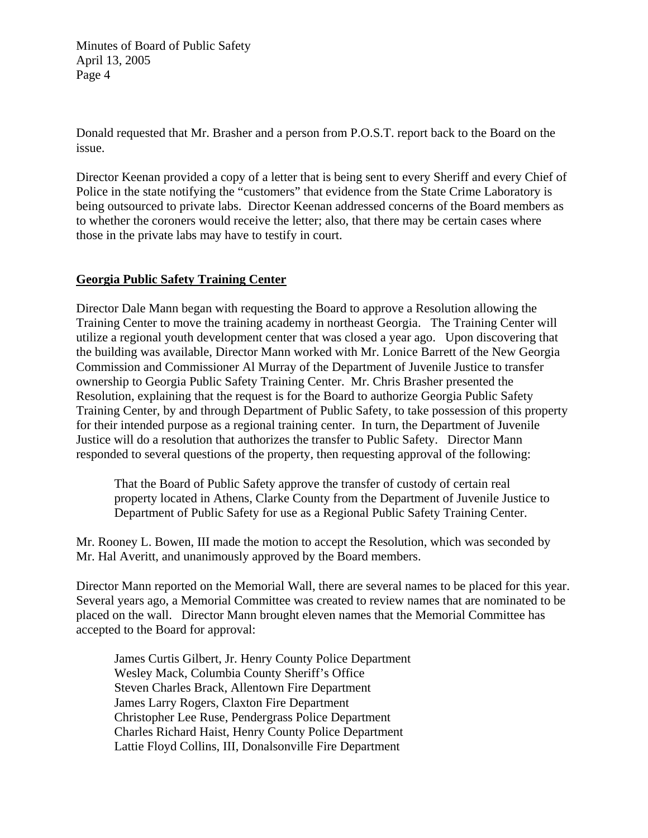Donald requested that Mr. Brasher and a person from P.O.S.T. report back to the Board on the issue.

Director Keenan provided a copy of a letter that is being sent to every Sheriff and every Chief of Police in the state notifying the "customers" that evidence from the State Crime Laboratory is being outsourced to private labs. Director Keenan addressed concerns of the Board members as to whether the coroners would receive the letter; also, that there may be certain cases where those in the private labs may have to testify in court.

#### **Georgia Public Safety Training Center**

Director Dale Mann began with requesting the Board to approve a Resolution allowing the Training Center to move the training academy in northeast Georgia. The Training Center will utilize a regional youth development center that was closed a year ago. Upon discovering that the building was available, Director Mann worked with Mr. Lonice Barrett of the New Georgia Commission and Commissioner Al Murray of the Department of Juvenile Justice to transfer ownership to Georgia Public Safety Training Center. Mr. Chris Brasher presented the Resolution, explaining that the request is for the Board to authorize Georgia Public Safety Training Center, by and through Department of Public Safety, to take possession of this property for their intended purpose as a regional training center. In turn, the Department of Juvenile Justice will do a resolution that authorizes the transfer to Public Safety. Director Mann responded to several questions of the property, then requesting approval of the following:

 That the Board of Public Safety approve the transfer of custody of certain real property located in Athens, Clarke County from the Department of Juvenile Justice to Department of Public Safety for use as a Regional Public Safety Training Center.

Mr. Rooney L. Bowen, III made the motion to accept the Resolution, which was seconded by Mr. Hal Averitt, and unanimously approved by the Board members.

Director Mann reported on the Memorial Wall, there are several names to be placed for this year. Several years ago, a Memorial Committee was created to review names that are nominated to be placed on the wall. Director Mann brought eleven names that the Memorial Committee has accepted to the Board for approval:

 James Curtis Gilbert, Jr. Henry County Police Department Wesley Mack, Columbia County Sheriff's Office Steven Charles Brack, Allentown Fire Department James Larry Rogers, Claxton Fire Department Christopher Lee Ruse, Pendergrass Police Department Charles Richard Haist, Henry County Police Department Lattie Floyd Collins, III, Donalsonville Fire Department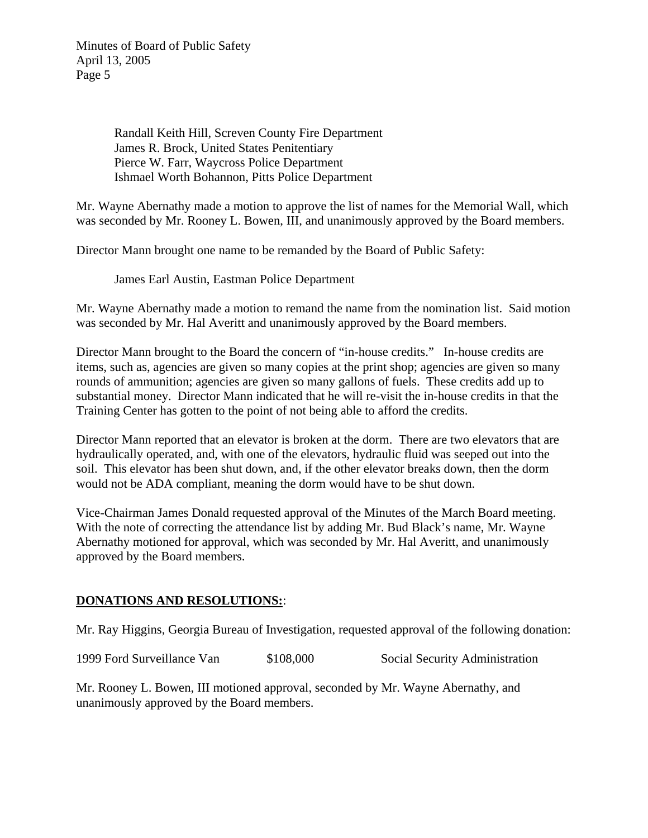> Randall Keith Hill, Screven County Fire Department James R. Brock, United States Penitentiary Pierce W. Farr, Waycross Police Department Ishmael Worth Bohannon, Pitts Police Department

Mr. Wayne Abernathy made a motion to approve the list of names for the Memorial Wall, which was seconded by Mr. Rooney L. Bowen, III, and unanimously approved by the Board members.

Director Mann brought one name to be remanded by the Board of Public Safety:

James Earl Austin, Eastman Police Department

Mr. Wayne Abernathy made a motion to remand the name from the nomination list. Said motion was seconded by Mr. Hal Averitt and unanimously approved by the Board members.

Director Mann brought to the Board the concern of "in-house credits." In-house credits are items, such as, agencies are given so many copies at the print shop; agencies are given so many rounds of ammunition; agencies are given so many gallons of fuels. These credits add up to substantial money. Director Mann indicated that he will re-visit the in-house credits in that the Training Center has gotten to the point of not being able to afford the credits.

Director Mann reported that an elevator is broken at the dorm. There are two elevators that are hydraulically operated, and, with one of the elevators, hydraulic fluid was seeped out into the soil. This elevator has been shut down, and, if the other elevator breaks down, then the dorm would not be ADA compliant, meaning the dorm would have to be shut down.

Vice-Chairman James Donald requested approval of the Minutes of the March Board meeting. With the note of correcting the attendance list by adding Mr. Bud Black's name, Mr. Wayne Abernathy motioned for approval, which was seconded by Mr. Hal Averitt, and unanimously approved by the Board members.

## **DONATIONS AND RESOLUTIONS:**:

Mr. Ray Higgins, Georgia Bureau of Investigation, requested approval of the following donation:

1999 Ford Surveillance Van \$108,000 Social Security Administration

Mr. Rooney L. Bowen, III motioned approval, seconded by Mr. Wayne Abernathy, and unanimously approved by the Board members.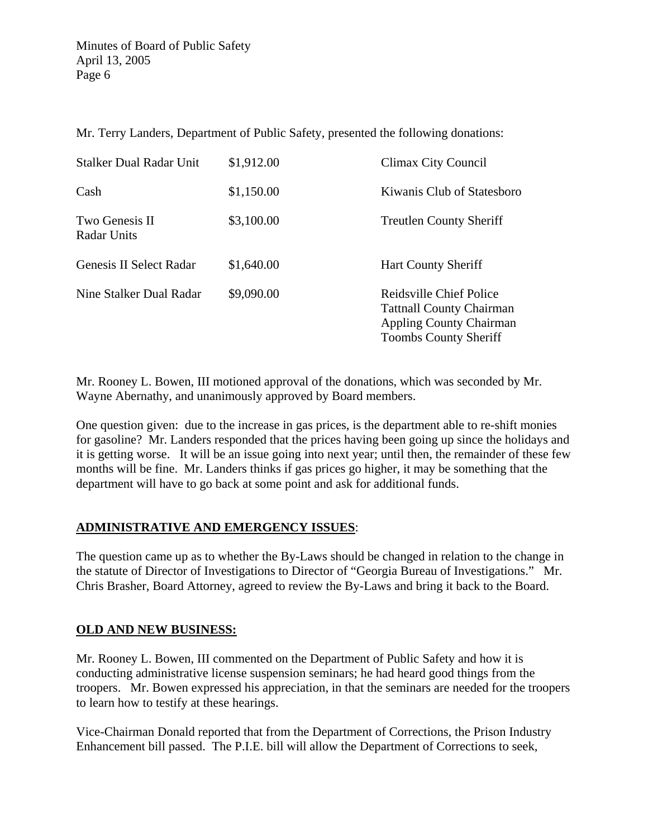Mr. Terry Landers, Department of Public Safety, presented the following donations:

| <b>Stalker Dual Radar Unit</b> | \$1,912.00 | Climax City Council                                                                                                          |
|--------------------------------|------------|------------------------------------------------------------------------------------------------------------------------------|
| Cash                           | \$1,150.00 | Kiwanis Club of Statesboro                                                                                                   |
| Two Genesis II<br>Radar Units  | \$3,100.00 | <b>Treutlen County Sheriff</b>                                                                                               |
| Genesis II Select Radar        | \$1,640.00 | <b>Hart County Sheriff</b>                                                                                                   |
| Nine Stalker Dual Radar        | \$9,090.00 | Reidsville Chief Police<br><b>Tattnall County Chairman</b><br><b>Appling County Chairman</b><br><b>Toombs County Sheriff</b> |

Mr. Rooney L. Bowen, III motioned approval of the donations, which was seconded by Mr. Wayne Abernathy, and unanimously approved by Board members.

One question given: due to the increase in gas prices, is the department able to re-shift monies for gasoline? Mr. Landers responded that the prices having been going up since the holidays and it is getting worse. It will be an issue going into next year; until then, the remainder of these few months will be fine. Mr. Landers thinks if gas prices go higher, it may be something that the department will have to go back at some point and ask for additional funds.

## **ADMINISTRATIVE AND EMERGENCY ISSUES**:

The question came up as to whether the By-Laws should be changed in relation to the change in the statute of Director of Investigations to Director of "Georgia Bureau of Investigations." Mr. Chris Brasher, Board Attorney, agreed to review the By-Laws and bring it back to the Board.

## **OLD AND NEW BUSINESS:**

Mr. Rooney L. Bowen, III commented on the Department of Public Safety and how it is conducting administrative license suspension seminars; he had heard good things from the troopers. Mr. Bowen expressed his appreciation, in that the seminars are needed for the troopers to learn how to testify at these hearings.

Vice-Chairman Donald reported that from the Department of Corrections, the Prison Industry Enhancement bill passed. The P.I.E. bill will allow the Department of Corrections to seek,